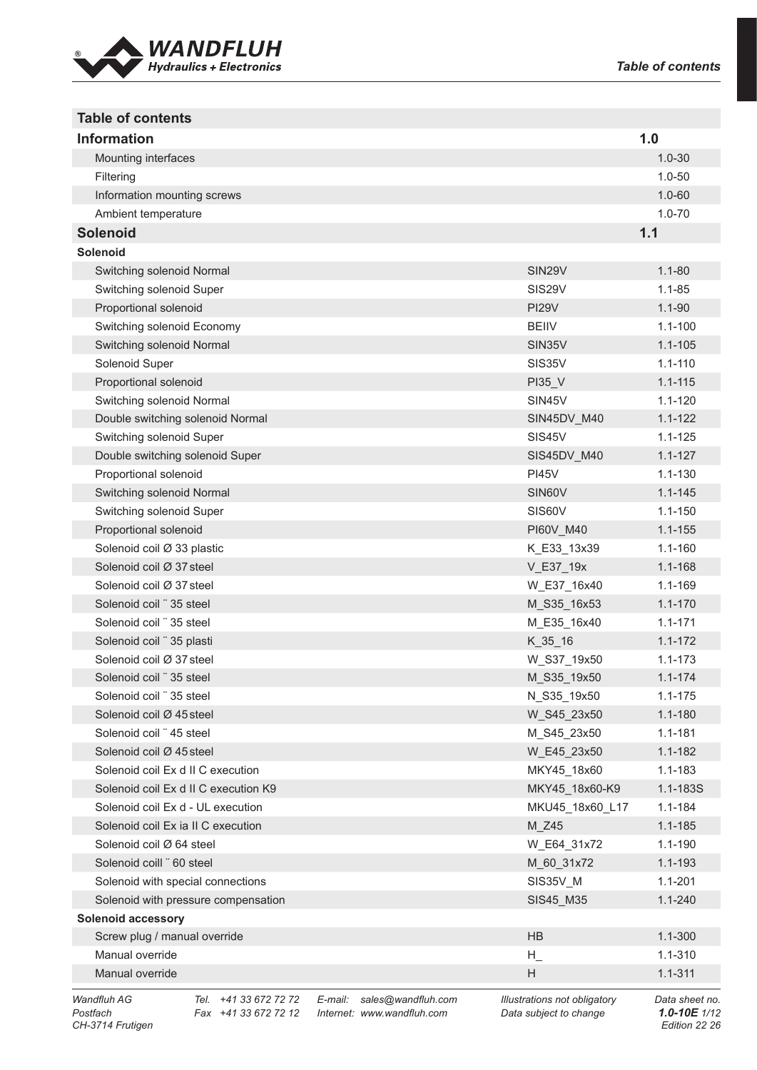

| <b>Table of contents</b>                               |             |
|--------------------------------------------------------|-------------|
| <b>Information</b>                                     | 1.0         |
| Mounting interfaces                                    | $1.0 - 30$  |
| Filtering                                              | $1.0 - 50$  |
| Information mounting screws                            | $1.0 - 60$  |
| Ambient temperature                                    | $1.0 - 70$  |
| <b>Solenoid</b>                                        | 1.1         |
| <b>Solenoid</b>                                        |             |
| Switching solenoid Normal<br><b>SIN29V</b>             | $1.1 - 80$  |
| SIS29V<br>Switching solenoid Super                     | $1.1 - 85$  |
| Proportional solenoid<br><b>PI29V</b>                  | $1.1 - 90$  |
| Switching solenoid Economy<br><b>BEIIV</b>             | $1.1 - 100$ |
| Switching solenoid Normal<br>SIN35V                    | $1.1 - 105$ |
| Solenoid Super<br>SIS35V                               | $1.1 - 110$ |
| Proportional solenoid<br>PI35_V                        | $1.1 - 115$ |
| Switching solenoid Normal<br>SIN45V                    | $1.1 - 120$ |
| Double switching solenoid Normal<br>SIN45DV M40        | $1.1 - 122$ |
| Switching solenoid Super<br>SIS45V                     | $1.1 - 125$ |
| Double switching solenoid Super<br>SIS45DV M40         | $1.1 - 127$ |
| Proportional solenoid<br><b>PI45V</b>                  | $1.1 - 130$ |
| Switching solenoid Normal<br>SIN60V                    | $1.1 - 145$ |
| Switching solenoid Super<br>SIS60V                     | $1.1 - 150$ |
| Proportional solenoid<br>PI60V_M40                     | $1.1 - 155$ |
| Solenoid coil Ø 33 plastic<br>K_E33_13x39              | $1.1 - 160$ |
| Solenoid coil Ø 37 steel<br>V_E37_19x                  | 1.1-168     |
| Solenoid coil Ø 37 steel<br>W_E37_16x40                | 1.1-169     |
| Solenoid coil "35 steel<br>M_S35_16x53                 | $1.1 - 170$ |
| Solenoid coil " 35 steel<br>M_E35_16x40                | $1.1 - 171$ |
| Solenoid coil "35 plasti<br>$K_35_16$                  | $1.1 - 172$ |
| Solenoid coil Ø 37 steel<br>W_S37_19x50                | $1.1 - 173$ |
| M_S35_19x50<br>Solenoid coil "35 steel                 | $1.1 - 174$ |
| Solenoid coil "35 steel<br>N_S35_19x50                 | $1.1 - 175$ |
| Solenoid coil Ø 45 steel<br>W S45 23x50                | $1.1 - 180$ |
| Solenoid coil "45 steel<br>M_S45_23x50                 | $1.1 - 181$ |
| Solenoid coil Ø 45 steel<br>W_E45_23x50                | $1.1 - 182$ |
| Solenoid coil Ex d II C execution<br>MKY45_18x60       | $1.1 - 183$ |
| Solenoid coil Ex d II C execution K9<br>MKY45 18x60-K9 | 1.1-183S    |
| Solenoid coil Ex d - UL execution<br>MKU45_18x60_L17   | $1.1 - 184$ |
| Solenoid coil Ex ia II C execution<br>M Z45            | $1.1 - 185$ |
| Solenoid coil Ø 64 steel<br>W_E64_31x72                | $1.1 - 190$ |
| Solenoid coill "60 steel<br>M_60_31x72                 | $1.1 - 193$ |
| Solenoid with special connections<br>SIS35V_M          | $1.1 - 201$ |
| Solenoid with pressure compensation<br>SIS45_M35       | $1.1 - 240$ |
| <b>Solenoid accessory</b>                              |             |
| <b>HB</b><br>Screw plug / manual override              | $1.1 - 300$ |
| Manual override<br>$H_{\_}$                            | 1.1-310     |
| H<br>Manual override                                   | $1.1 - 311$ |

*Wandfluh AG Tel. +41 33 672 72 72 E-mail: sales@wandfluh.com Illustrations not obligatory Data sheet no. Postfach Fax +41 33 672 72 12 Internet: www.wandfluh.com Data subject to change 1.0-10E 1/12*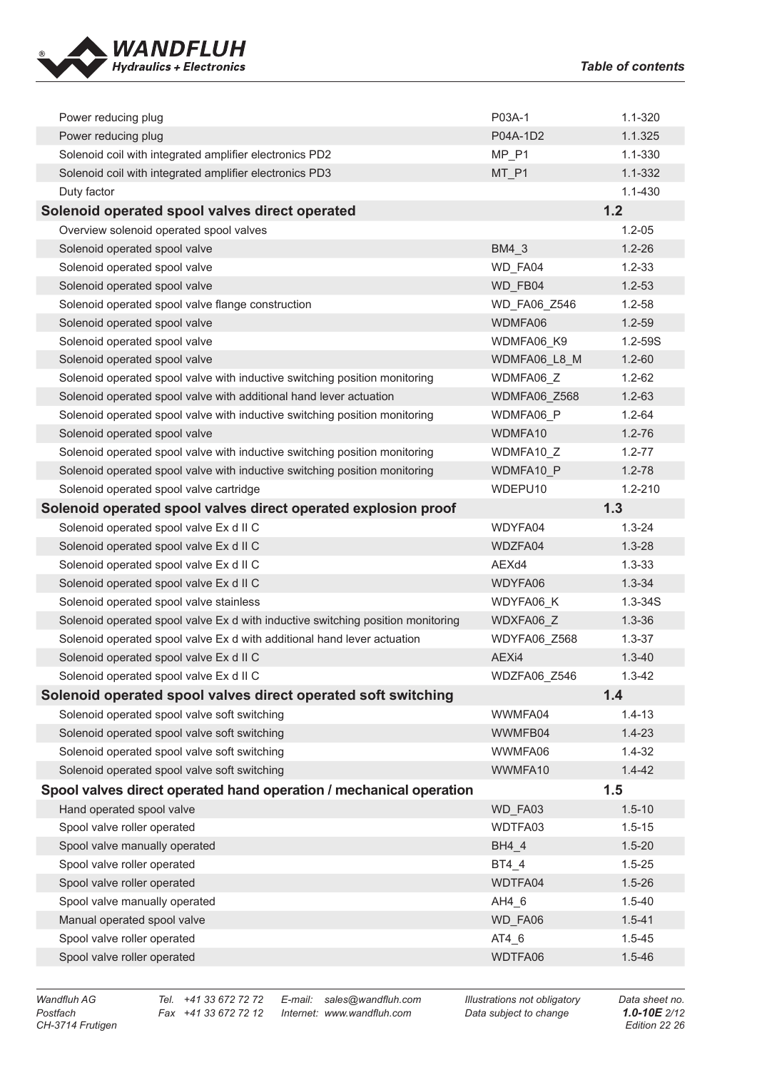

| Power reducing plug                                                             | P03A-1              | $1.1 - 320$ |
|---------------------------------------------------------------------------------|---------------------|-------------|
| Power reducing plug                                                             | P04A-1D2            | 1.1.325     |
| Solenoid coil with integrated amplifier electronics PD2                         | MP P1               | $1.1 - 330$ |
| Solenoid coil with integrated amplifier electronics PD3                         | MT_P1               | 1.1-332     |
| Duty factor                                                                     |                     | $1.1 - 430$ |
| Solenoid operated spool valves direct operated                                  |                     | 1.2         |
| Overview solenoid operated spool valves                                         |                     | $1.2 - 0.5$ |
| Solenoid operated spool valve                                                   | BM4 3               | $1.2 - 26$  |
| Solenoid operated spool valve                                                   | WD_FA04             | $1.2 - 33$  |
| Solenoid operated spool valve                                                   | WD_FB04             | $1.2 - 53$  |
| Solenoid operated spool valve flange construction                               | <b>WD FA06 Z546</b> | $1.2 - 58$  |
| Solenoid operated spool valve                                                   | WDMFA06             | $1.2 - 59$  |
| Solenoid operated spool valve                                                   | WDMFA06 K9          | 1.2-59S     |
| Solenoid operated spool valve                                                   | WDMFA06 L8 M        | $1.2 - 60$  |
| Solenoid operated spool valve with inductive switching position monitoring      | WDMFA06 Z           | $1.2 - 62$  |
| Solenoid operated spool valve with additional hand lever actuation              | WDMFA06 Z568        | $1.2 - 63$  |
| Solenoid operated spool valve with inductive switching position monitoring      | WDMFA06 P           | $1.2 - 64$  |
| Solenoid operated spool valve                                                   | WDMFA10             | $1.2 - 76$  |
| Solenoid operated spool valve with inductive switching position monitoring      | WDMFA10 Z           | $1.2 - 77$  |
| Solenoid operated spool valve with inductive switching position monitoring      | WDMFA10 P           | $1.2 - 78$  |
| Solenoid operated spool valve cartridge                                         | WDEPU10             | 1.2-210     |
| Solenoid operated spool valves direct operated explosion proof                  |                     | 1.3         |
| Solenoid operated spool valve Ex d II C                                         | WDYFA04             | $1.3 - 24$  |
| Solenoid operated spool valve Ex d II C                                         | WDZFA04             | $1.3 - 28$  |
|                                                                                 |                     |             |
| Solenoid operated spool valve Ex d II C                                         | AEXd4               | $1.3 - 33$  |
| Solenoid operated spool valve Ex d II C                                         | WDYFA06             | $1.3 - 34$  |
| Solenoid operated spool valve stainless                                         | WDYFA06 K           | $1.3 - 34S$ |
| Solenoid operated spool valve Ex d with inductive switching position monitoring | WDXFA06_Z           | $1.3 - 36$  |
| Solenoid operated spool valve Ex d with additional hand lever actuation         | WDYFA06_Z568        | $1.3 - 37$  |
| Solenoid operated spool valve Ex d II C                                         | AEXi4               | $1.3 - 40$  |
| Solenoid operated spool valve Ex d II C                                         | WDZFA06_Z546        | $1.3 - 42$  |
| Solenoid operated spool valves direct operated soft switching                   |                     | 1.4         |
| Solenoid operated spool valve soft switching                                    | WWMFA04             | $1.4 - 13$  |
| Solenoid operated spool valve soft switching                                    | WWMFB04             | $1.4 - 23$  |
| Solenoid operated spool valve soft switching                                    | WWMFA06             | $1.4 - 32$  |
| Solenoid operated spool valve soft switching                                    | WWMFA10             | $1.4 - 42$  |
| Spool valves direct operated hand operation / mechanical operation              |                     | 1.5         |
| Hand operated spool valve                                                       | WD_FA03             | $1.5 - 10$  |
| Spool valve roller operated                                                     | WDTFA03             | $1.5 - 15$  |
| Spool valve manually operated                                                   | BH4 4               | $1.5 - 20$  |
| Spool valve roller operated                                                     | BT4_4               | $1.5 - 25$  |
| Spool valve roller operated                                                     | WDTFA04             | $1.5 - 26$  |
| Spool valve manually operated                                                   | AH4 6               | $1.5 - 40$  |
| Manual operated spool valve                                                     | WD_FA06             | $1.5 - 41$  |
| Spool valve roller operated                                                     | AT4_6               | $1.5 - 45$  |

*Postfach Fax +41 33 672 72 12 Internet: www.wandfluh.com Data subject to change 1.0-10E 2/12*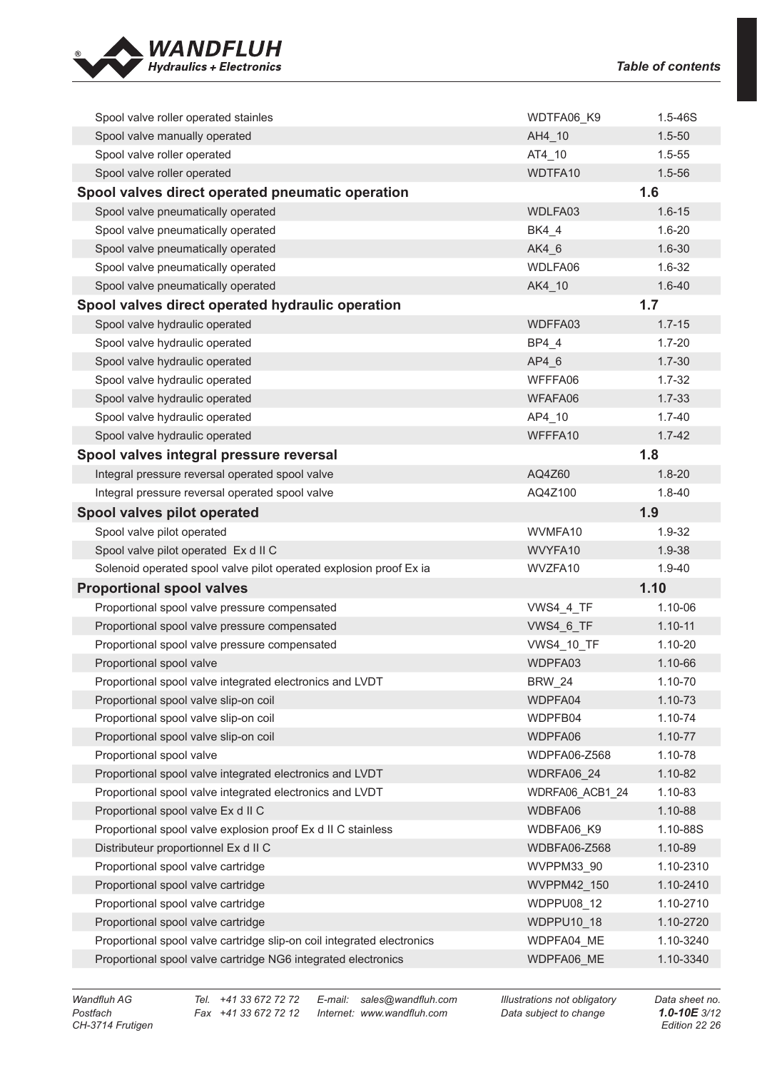

| Spool valve roller operated stainles                                                                                                    | WDTFA06_K9               | $1.5 - 46S$            |
|-----------------------------------------------------------------------------------------------------------------------------------------|--------------------------|------------------------|
| Spool valve manually operated                                                                                                           | AH4_10                   | $1.5 - 50$             |
| Spool valve roller operated                                                                                                             | AT4_10                   | $1.5 - 55$             |
| Spool valve roller operated                                                                                                             | WDTFA10                  | $1.5 - 56$             |
| Spool valves direct operated pneumatic operation                                                                                        |                          | 1.6                    |
| Spool valve pneumatically operated                                                                                                      | WDLFA03                  | $1.6 - 15$             |
| Spool valve pneumatically operated                                                                                                      | <b>BK4 4</b>             | $1.6 - 20$             |
| Spool valve pneumatically operated                                                                                                      | AK4 6                    | $1.6 - 30$             |
| Spool valve pneumatically operated                                                                                                      | WDLFA06                  | $1.6 - 32$             |
| Spool valve pneumatically operated                                                                                                      | AK4_10                   | $1.6 - 40$             |
| Spool valves direct operated hydraulic operation                                                                                        |                          | 1.7                    |
| Spool valve hydraulic operated                                                                                                          | WDFFA03                  | $1.7 - 15$             |
| Spool valve hydraulic operated                                                                                                          | BP4 4                    | $1.7 - 20$             |
| Spool valve hydraulic operated                                                                                                          | AP4 6                    | $1.7 - 30$             |
| Spool valve hydraulic operated                                                                                                          | WFFFA06                  | $1.7 - 32$             |
| Spool valve hydraulic operated                                                                                                          | WFAFA06                  | $1.7 - 33$             |
| Spool valve hydraulic operated                                                                                                          | AP4_10                   | $1.7 - 40$             |
| Spool valve hydraulic operated                                                                                                          | WFFFA10                  | $1.7 - 42$             |
| Spool valves integral pressure reversal                                                                                                 |                          | 1.8                    |
| Integral pressure reversal operated spool valve                                                                                         | AQ4Z60                   | $1.8 - 20$             |
| Integral pressure reversal operated spool valve                                                                                         | AQ4Z100                  | $1.8 - 40$             |
| Spool valves pilot operated                                                                                                             |                          | 1.9                    |
|                                                                                                                                         | WVMFA10                  | 1.9-32                 |
| Spool valve pilot operated                                                                                                              |                          |                        |
| Spool valve pilot operated Ex d II C                                                                                                    | WVYFA10                  | 1.9-38                 |
| Solenoid operated spool valve pilot operated explosion proof Ex ia                                                                      | WVZFA10                  | $1.9 - 40$             |
| <b>Proportional spool valves</b>                                                                                                        |                          | 1.10                   |
| Proportional spool valve pressure compensated                                                                                           | <b>VWS4_4_TF</b>         | 1.10-06                |
| Proportional spool valve pressure compensated                                                                                           | VWS4 6 TF                | $1.10 - 11$            |
| Proportional spool valve pressure compensated                                                                                           | <b>VWS4_10_TF</b>        | 1.10-20                |
| Proportional spool valve                                                                                                                | WDPFA03                  | 1.10-66                |
| Proportional spool valve integrated electronics and LVDT                                                                                | <b>BRW_24</b>            | 1.10-70                |
| Proportional spool valve slip-on coil                                                                                                   | WDPFA04                  | 1.10-73                |
| Proportional spool valve slip-on coil                                                                                                   | WDPFB04                  | 1.10-74                |
| Proportional spool valve slip-on coil                                                                                                   | WDPFA06                  | $1.10 - 77$            |
| Proportional spool valve                                                                                                                | WDPFA06-Z568             | 1.10-78                |
| Proportional spool valve integrated electronics and LVDT                                                                                | WDRFA06 24               | $1.10 - 82$            |
| Proportional spool valve integrated electronics and LVDT                                                                                | WDRFA06 ACB1 24          | 1.10-83                |
| Proportional spool valve Ex d II C                                                                                                      | WDBFA06                  | 1.10-88                |
| Proportional spool valve explosion proof Ex d II C stainless                                                                            | WDBFA06 K9               | 1.10-88S               |
| Distributeur proportionnel Ex d II C                                                                                                    | WDBFA06-Z568             | $1.10 - 89$            |
| Proportional spool valve cartridge                                                                                                      | WVPPM33 90               | 1.10-2310              |
| Proportional spool valve cartridge                                                                                                      | WVPPM42 150              | 1.10-2410              |
| Proportional spool valve cartridge                                                                                                      | <b>WDPPU08 12</b>        | 1.10-2710              |
| Proportional spool valve cartridge                                                                                                      | WDPPU10 18               | 1.10-2720              |
| Proportional spool valve cartridge slip-on coil integrated electronics<br>Proportional spool valve cartridge NG6 integrated electronics | WDPFA04 ME<br>WDPFA06_ME | 1.10-3240<br>1.10-3340 |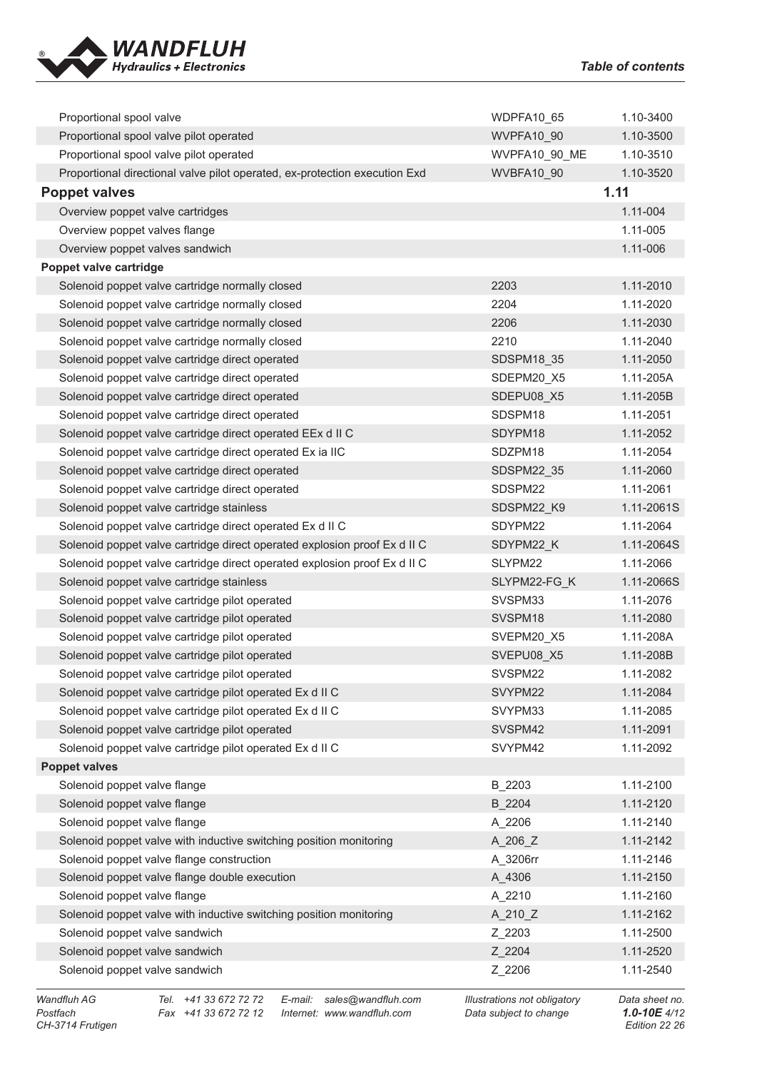

| Proportional spool valve                                                   | WDPFA10 65        | 1.10-3400  |
|----------------------------------------------------------------------------|-------------------|------------|
| Proportional spool valve pilot operated                                    | <b>WVPFA10 90</b> | 1.10-3500  |
| Proportional spool valve pilot operated                                    | WVPFA10 90 ME     | 1.10-3510  |
| Proportional directional valve pilot operated, ex-protection execution Exd | WVBFA10 90        | 1.10-3520  |
| <b>Poppet valves</b>                                                       | 1.11              |            |
| Overview poppet valve cartridges                                           |                   | 1.11-004   |
| Overview poppet valves flange                                              |                   | 1.11-005   |
| Overview poppet valves sandwich                                            |                   | 1.11-006   |
| Poppet valve cartridge                                                     |                   |            |
| Solenoid poppet valve cartridge normally closed                            | 2203              | 1.11-2010  |
| Solenoid poppet valve cartridge normally closed                            | 2204              | 1.11-2020  |
| Solenoid poppet valve cartridge normally closed                            | 2206              | 1.11-2030  |
| Solenoid poppet valve cartridge normally closed                            | 2210              | 1.11-2040  |
| Solenoid poppet valve cartridge direct operated                            | SDSPM18 35        | 1.11-2050  |
| Solenoid poppet valve cartridge direct operated                            | SDEPM20 X5        | 1.11-205A  |
| Solenoid poppet valve cartridge direct operated                            | SDEPU08 X5        | 1.11-205B  |
| Solenoid poppet valve cartridge direct operated                            | SDSPM18           | 1.11-2051  |
| Solenoid poppet valve cartridge direct operated EEx d II C                 | SDYPM18           | 1.11-2052  |
| Solenoid poppet valve cartridge direct operated Ex ia IIC                  | SDZPM18           | 1.11-2054  |
| Solenoid poppet valve cartridge direct operated                            | SDSPM22 35        | 1.11-2060  |
| Solenoid poppet valve cartridge direct operated                            | SDSPM22           | 1.11-2061  |
| Solenoid poppet valve cartridge stainless                                  | SDSPM22 K9        | 1.11-2061S |
| Solenoid poppet valve cartridge direct operated Ex d II C                  | SDYPM22           | 1.11-2064  |
| Solenoid poppet valve cartridge direct operated explosion proof Ex d II C  | SDYPM22 K         | 1.11-2064S |
| Solenoid poppet valve cartridge direct operated explosion proof Ex d II C  | SLYPM22           | 1.11-2066  |
| Solenoid poppet valve cartridge stainless                                  | SLYPM22-FG K      | 1.11-2066S |
| Solenoid poppet valve cartridge pilot operated                             | SVSPM33           | 1.11-2076  |
| Solenoid poppet valve cartridge pilot operated                             | SVSPM18           | 1.11-2080  |
| Solenoid poppet valve cartridge pilot operated                             | SVEPM20 X5        | 1.11-208A  |
| Solenoid poppet valve cartridge pilot operated                             | SVEPU08 X5        | 1.11-208B  |
| Solenoid poppet valve cartridge pilot operated                             | SVSPM22           | 1.11-2082  |
| Solenoid poppet valve cartridge pilot operated Ex d II C                   | SVYPM22           | 1.11-2084  |
| Solenoid poppet valve cartridge pilot operated Ex d II C                   | SVYPM33           | 1.11-2085  |
| Solenoid poppet valve cartridge pilot operated                             | SVSPM42           | 1.11-2091  |
| Solenoid poppet valve cartridge pilot operated Ex d II C                   | SVYPM42           | 1.11-2092  |
| <b>Poppet valves</b>                                                       |                   |            |
| Solenoid poppet valve flange                                               | B_2203            | 1.11-2100  |
| Solenoid poppet valve flange                                               | B 2204            | 1.11-2120  |
| Solenoid poppet valve flange                                               | A 2206            | 1.11-2140  |
| Solenoid poppet valve with inductive switching position monitoring         | $A_206_Z$         | 1.11-2142  |
| Solenoid poppet valve flange construction                                  | A 3206rr          | 1.11-2146  |
| Solenoid poppet valve flange double execution                              | A 4306            | 1.11-2150  |
| Solenoid poppet valve flange                                               | A_2210            | 1.11-2160  |
| Solenoid poppet valve with inductive switching position monitoring         | $A_210_Z$         | 1.11-2162  |
| Solenoid poppet valve sandwich                                             | Z_2203            | 1.11-2500  |
| Solenoid poppet valve sandwich                                             | Z_2204            | 1.11-2520  |
| Solenoid poppet valve sandwich                                             | Z_2206            | 1.11-2540  |
|                                                                            |                   |            |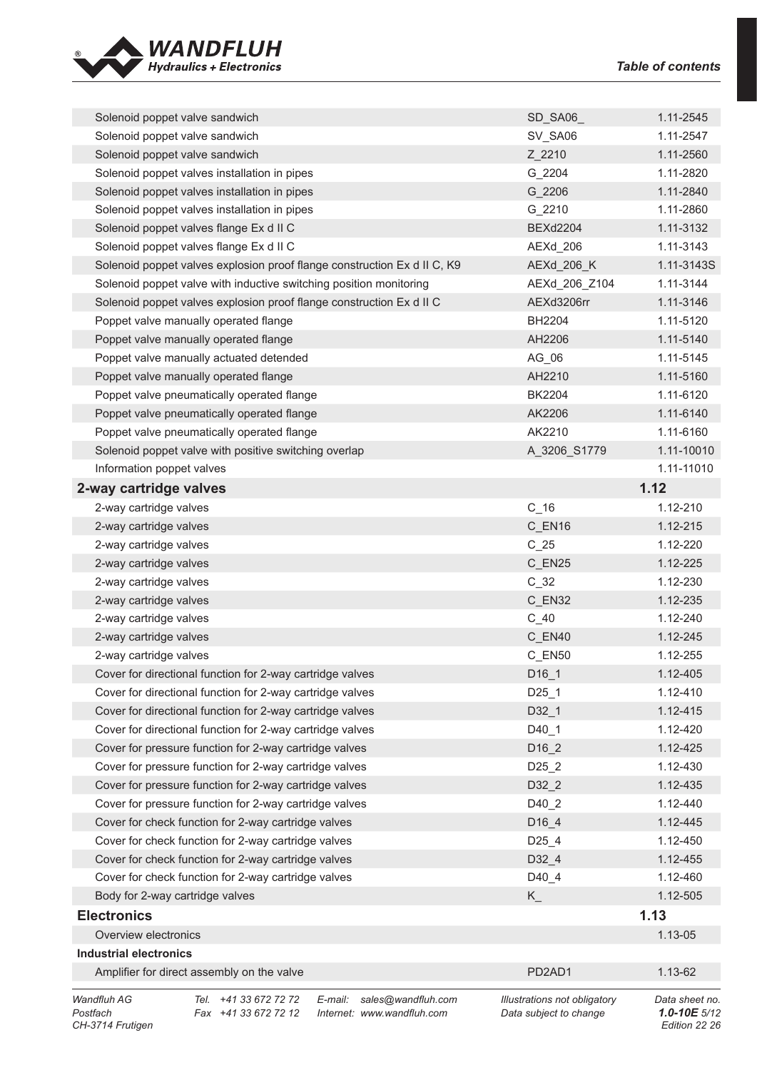

| Solenoid poppet valve sandwich                                           | SD_SA06                             | 1.11-2545      |
|--------------------------------------------------------------------------|-------------------------------------|----------------|
| Solenoid poppet valve sandwich                                           | SV_SA06                             | 1.11-2547      |
| Solenoid poppet valve sandwich                                           | Z 2210                              | 1.11-2560      |
| Solenoid poppet valves installation in pipes                             | G 2204                              | 1.11-2820      |
| Solenoid poppet valves installation in pipes                             | G 2206                              | 1.11-2840      |
| Solenoid poppet valves installation in pipes                             | G 2210                              | 1.11-2860      |
| Solenoid poppet valves flange Ex d II C                                  | <b>BEXd2204</b>                     | 1.11-3132      |
| Solenoid poppet valves flange Ex d II C                                  | AEXd_206                            | 1.11-3143      |
| Solenoid poppet valves explosion proof flange construction Ex d II C, K9 | AEXd_206_K                          | 1.11-3143S     |
| Solenoid poppet valve with inductive switching position monitoring       | AEXd_206_Z104                       | 1.11-3144      |
| Solenoid poppet valves explosion proof flange construction Ex d II C     | AEXd3206rr                          | 1.11-3146      |
| Poppet valve manually operated flange                                    | <b>BH2204</b>                       | 1.11-5120      |
| Poppet valve manually operated flange                                    | AH2206                              | 1.11-5140      |
| Poppet valve manually actuated detended                                  | AG 06                               | 1.11-5145      |
| Poppet valve manually operated flange                                    | AH2210                              | 1.11-5160      |
| Poppet valve pneumatically operated flange                               | <b>BK2204</b>                       | 1.11-6120      |
| Poppet valve pneumatically operated flange                               | AK2206                              | 1.11-6140      |
| Poppet valve pneumatically operated flange                               | AK2210                              | 1.11-6160      |
| Solenoid poppet valve with positive switching overlap                    | A_3206_S1779                        | 1.11-10010     |
| Information poppet valves                                                |                                     | 1.11-11010     |
| 2-way cartridge valves                                                   |                                     | 1.12           |
| 2-way cartridge valves                                                   | $C_{16}$                            | 1.12-210       |
| 2-way cartridge valves                                                   | C_EN16                              | 1.12-215       |
| 2-way cartridge valves                                                   | $C_25$                              | 1.12-220       |
| 2-way cartridge valves                                                   | C_EN25                              | 1.12-225       |
| 2-way cartridge valves                                                   | $C_32$                              | 1.12-230       |
| 2-way cartridge valves                                                   | C EN32                              | 1.12-235       |
| 2-way cartridge valves                                                   | $C_40$                              | 1.12-240       |
| 2-way cartridge valves                                                   | C_EN40                              | 1.12-245       |
| 2-way cartridge valves                                                   | C EN50                              | 1.12-255       |
| Cover for directional function for 2-way cartridge valves                | $D16_1$                             | 1.12-405       |
| Cover for directional function for 2-way cartridge valves                | $D25$ _1                            | 1.12-410       |
| Cover for directional function for 2-way cartridge valves                | $D32_1$                             | 1.12-415       |
| Cover for directional function for 2-way cartridge valves                | D40 1                               | 1.12-420       |
| Cover for pressure function for 2-way cartridge valves                   | D16 2                               | 1.12-425       |
| Cover for pressure function for 2-way cartridge valves                   | D <sub>25_2</sub>                   | 1.12-430       |
| Cover for pressure function for 2-way cartridge valves                   | D32 2                               | 1.12-435       |
| Cover for pressure function for 2-way cartridge valves                   | D40_2                               | 1.12-440       |
| Cover for check function for 2-way cartridge valves                      | D <sub>16_4</sub>                   | 1.12-445       |
| Cover for check function for 2-way cartridge valves                      | D <sub>25_4</sub>                   | 1.12-450       |
| Cover for check function for 2-way cartridge valves                      | D32_4                               | 1.12-455       |
| Cover for check function for 2-way cartridge valves                      | D40_4                               | 1.12-460       |
| Body for 2-way cartridge valves                                          | $K_{-}$                             | 1.12-505       |
| <b>Electronics</b>                                                       |                                     | 1.13           |
| Overview electronics                                                     |                                     | 1.13-05        |
| <b>Industrial electronics</b>                                            |                                     |                |
| Amplifier for direct assembly on the valve                               | PD <sub>2</sub> AD <sub>1</sub>     | 1.13-62        |
| Wandfluh AG<br>+41 33 672 72 72<br>sales@wandfluh.com<br>E-mail:<br>Tel. | <b>Illustrations not obligatory</b> | Data sheet no. |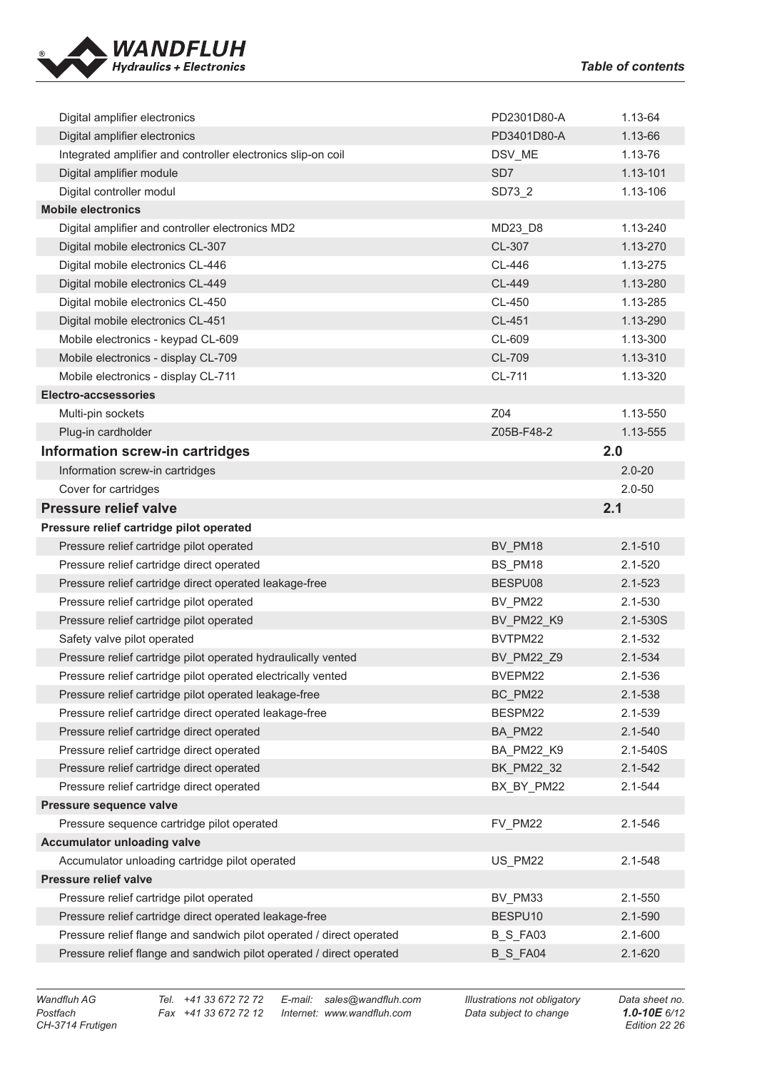

| Digital amplifier electronics                                                  | PD2301D80-A           | 1.13-64                    |
|--------------------------------------------------------------------------------|-----------------------|----------------------------|
| Digital amplifier electronics                                                  | PD3401D80-A           | 1.13-66                    |
| Integrated amplifier and controller electronics slip-on coil                   | DSV_ME                | 1.13-76                    |
| Digital amplifier module                                                       | SD <sub>7</sub>       | 1.13-101                   |
| Digital controller modul                                                       | SD73_2                | 1.13-106                   |
| <b>Mobile electronics</b>                                                      |                       |                            |
| Digital amplifier and controller electronics MD2                               | MD23_D8               | 1.13-240                   |
| Digital mobile electronics CL-307                                              | CL-307                | 1.13-270                   |
| Digital mobile electronics CL-446                                              | CL-446                | 1.13-275                   |
| Digital mobile electronics CL-449                                              | CL-449                | 1.13-280                   |
| Digital mobile electronics CL-450                                              | CL-450                | 1.13-285                   |
| Digital mobile electronics CL-451                                              | CL-451                | 1.13-290                   |
| Mobile electronics - keypad CL-609                                             | CL-609                | 1.13-300                   |
| Mobile electronics - display CL-709                                            | CL-709                | 1.13-310                   |
| Mobile electronics - display CL-711                                            | CL-711                | 1.13-320                   |
| <b>Electro-accsessories</b>                                                    |                       |                            |
| Multi-pin sockets                                                              | Z04                   | 1.13-550                   |
| Plug-in cardholder                                                             | Z05B-F48-2            | 1.13-555                   |
| Information screw-in cartridges                                                |                       | 2.0                        |
| Information screw-in cartridges                                                |                       | $2.0 - 20$                 |
| Cover for cartridges                                                           |                       | $2.0 - 50$                 |
| <b>Pressure relief valve</b>                                                   |                       | 2.1                        |
| Pressure relief cartridge pilot operated                                       |                       |                            |
| Pressure relief cartridge pilot operated                                       | BV_PM18               | $2.1 - 510$                |
|                                                                                |                       |                            |
|                                                                                |                       |                            |
| Pressure relief cartridge direct operated                                      | BS_PM18<br>BESPU08    | $2.1 - 520$<br>$2.1 - 523$ |
| Pressure relief cartridge direct operated leakage-free                         |                       | $2.1 - 530$                |
| Pressure relief cartridge pilot operated                                       | BV_PM22               |                            |
| Pressure relief cartridge pilot operated                                       | BV PM22 K9<br>BVTPM22 | 2.1-530S<br>$2.1 - 532$    |
| Safety valve pilot operated                                                    |                       |                            |
| Pressure relief cartridge pilot operated hydraulically vented                  | BV_PM22_Z9<br>BVEPM22 | 2.1-534<br>$2.1 - 536$     |
| Pressure relief cartridge pilot operated electrically vented                   | BC PM22               | 2.1-538                    |
| Pressure relief cartridge pilot operated leakage-free                          |                       |                            |
| Pressure relief cartridge direct operated leakage-free                         | BESPM22               | 2.1-539                    |
| Pressure relief cartridge direct operated                                      | BA_PM22               | $2.1 - 540$                |
| Pressure relief cartridge direct operated                                      | BA_PM22_K9            | 2.1-540S                   |
| Pressure relief cartridge direct operated                                      | BK_PM22_32            | $2.1 - 542$                |
| Pressure relief cartridge direct operated<br>Pressure sequence valve           | BX_BY_PM22            | $2.1 - 544$                |
| Pressure sequence cartridge pilot operated                                     | FV_PM22               | 2.1-546                    |
|                                                                                |                       |                            |
| <b>Accumulator unloading valve</b>                                             |                       | $2.1 - 548$                |
| Accumulator unloading cartridge pilot operated<br><b>Pressure relief valve</b> | US_PM22               |                            |
| Pressure relief cartridge pilot operated                                       | BV_PM33               | 2.1-550                    |
| Pressure relief cartridge direct operated leakage-free                         | BESPU10               | $2.1 - 590$                |
| Pressure relief flange and sandwich pilot operated / direct operated           | <b>B_S_FA03</b>       | $2.1 - 600$                |
| Pressure relief flange and sandwich pilot operated / direct operated           | B_S_FA04              | 2.1-620                    |

*Postfach Fax +41 33 672 72 12 Internet: www.wandfluh.com Data subject to change 1.0-10E 6/12*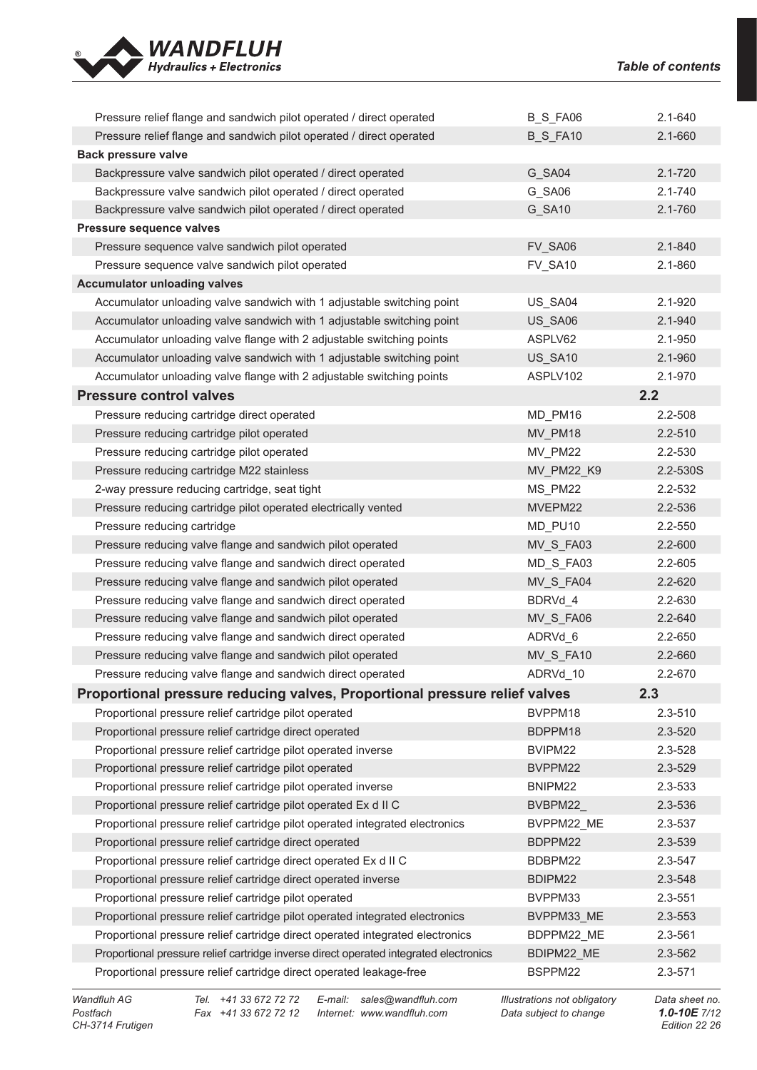| Pressure relief flange and sandwich pilot operated / direct operated                  | B_S_FA06          | 2.1-640     |
|---------------------------------------------------------------------------------------|-------------------|-------------|
| Pressure relief flange and sandwich pilot operated / direct operated                  | <b>B_S_FA10</b>   | 2.1-660     |
| <b>Back pressure valve</b>                                                            |                   |             |
| Backpressure valve sandwich pilot operated / direct operated                          | G SA04            | $2.1 - 720$ |
| Backpressure valve sandwich pilot operated / direct operated                          | G_SA06            | 2.1-740     |
| Backpressure valve sandwich pilot operated / direct operated                          | G_SA10            | 2.1-760     |
| Pressure sequence valves                                                              |                   |             |
| Pressure sequence valve sandwich pilot operated                                       | FV_SA06           | $2.1 - 840$ |
| Pressure sequence valve sandwich pilot operated                                       | FV_SA10           | 2.1-860     |
| <b>Accumulator unloading valves</b>                                                   |                   |             |
| Accumulator unloading valve sandwich with 1 adjustable switching point                | US_SA04           | $2.1 - 920$ |
| Accumulator unloading valve sandwich with 1 adjustable switching point                | US_SA06           | 2.1-940     |
| Accumulator unloading valve flange with 2 adjustable switching points                 | ASPLV62           | 2.1-950     |
| Accumulator unloading valve sandwich with 1 adjustable switching point                | US_SA10           | 2.1-960     |
| Accumulator unloading valve flange with 2 adjustable switching points                 | ASPLV102          | 2.1-970     |
| <b>Pressure control valves</b>                                                        |                   | 2.2         |
| Pressure reducing cartridge direct operated                                           | MD_PM16           | 2.2-508     |
| Pressure reducing cartridge pilot operated                                            | MV_PM18           | 2.2-510     |
| Pressure reducing cartridge pilot operated                                            | MV_PM22           | 2.2-530     |
| Pressure reducing cartridge M22 stainless                                             | <b>MV PM22 K9</b> | 2.2-530S    |
| 2-way pressure reducing cartridge, seat tight                                         | MS_PM22           | 2.2-532     |
| Pressure reducing cartridge pilot operated electrically vented                        | MVEPM22           | 2.2-536     |
| Pressure reducing cartridge                                                           | MD_PU10           | 2.2-550     |
| Pressure reducing valve flange and sandwich pilot operated                            | MV_S_FA03         | $2.2 - 600$ |
| Pressure reducing valve flange and sandwich direct operated                           | MD_S_FA03         | 2.2-605     |
| Pressure reducing valve flange and sandwich pilot operated                            | MV_S_FA04         | 2.2-620     |
| Pressure reducing valve flange and sandwich direct operated                           | BDRVd 4           | 2.2-630     |
| Pressure reducing valve flange and sandwich pilot operated                            | MV_S_FA06         | 2.2-640     |
| Pressure reducing valve flange and sandwich direct operated                           | ADRVd 6           | $2.2 - 650$ |
| Pressure reducing valve flange and sandwich pilot operated                            | MV_S_FA10         | 2.2-660     |
| Pressure reducing valve flange and sandwich direct operated                           | ADRVd_10          | 2.2-670     |
| Proportional pressure reducing valves, Proportional pressure relief valves            |                   | 2.3         |
| Proportional pressure relief cartridge pilot operated                                 | BVPPM18           | 2.3-510     |
| Proportional pressure relief cartridge direct operated                                | BDPPM18           | 2.3-520     |
| Proportional pressure relief cartridge pilot operated inverse                         | BVIPM22           | 2.3-528     |
| Proportional pressure relief cartridge pilot operated                                 | BVPPM22           | 2.3-529     |
| Proportional pressure relief cartridge pilot operated inverse                         | BNIPM22           | 2.3-533     |
| Proportional pressure relief cartridge pilot operated Ex d II C                       | BVBPM22           | 2.3-536     |
| Proportional pressure relief cartridge pilot operated integrated electronics          | BVPPM22_ME        | 2.3-537     |
| Proportional pressure relief cartridge direct operated                                | BDPPM22           | 2.3-539     |
| Proportional pressure relief cartridge direct operated Ex d II C                      | BDBPM22           | 2.3-547     |
| Proportional pressure relief cartridge direct operated inverse                        | BDIPM22           | 2.3-548     |
| Proportional pressure relief cartridge pilot operated                                 | BVPPM33           | 2.3-551     |
| Proportional pressure relief cartridge pilot operated integrated electronics          | BVPPM33_ME        | 2.3-553     |
| Proportional pressure relief cartridge direct operated integrated electronics         | BDPPM22 ME        | 2.3-561     |
| Proportional pressure relief cartridge inverse direct operated integrated electronics | BDIPM22_ME        | 2.3-562     |
| Proportional pressure relief cartridge direct operated leakage-free                   | BSPPM22           | 2.3-571     |

*Postfach Fax +41 33 672 72 12 Internet: www.wandfluh.com Data subject to change 1.0-10E 7/12*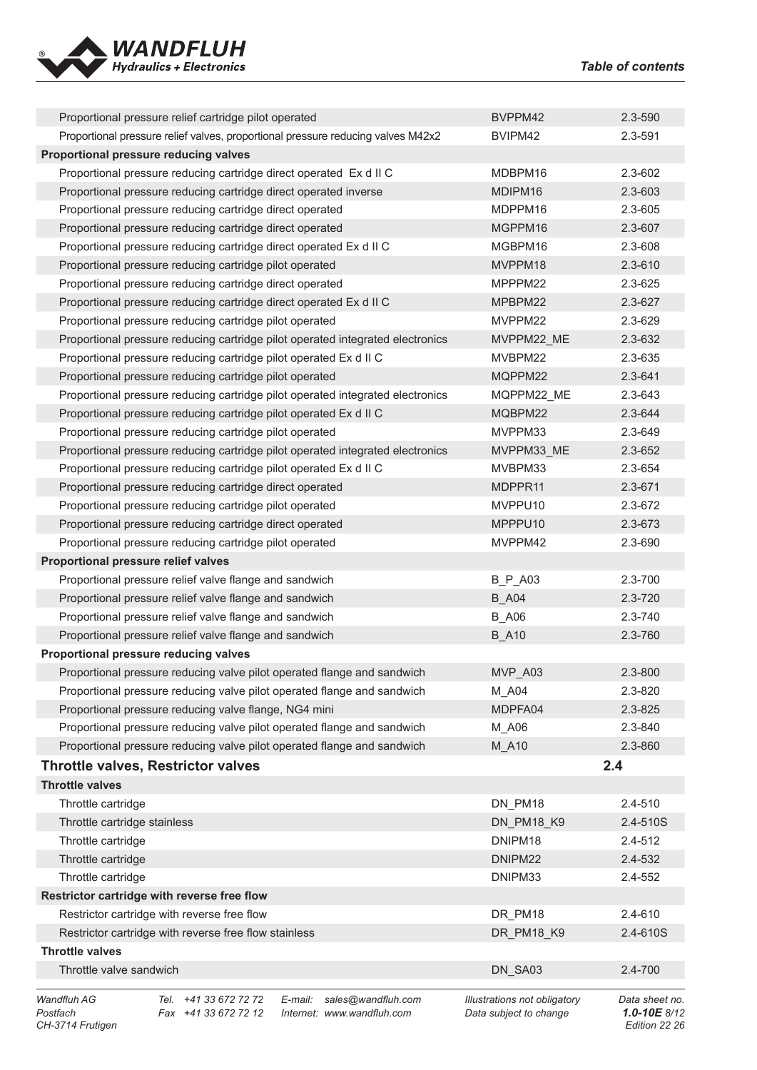

|                                             | Proportional pressure relief cartridge pilot operated                            |                                                  | BVPPM42                                                       | 2.3-590                                         |
|---------------------------------------------|----------------------------------------------------------------------------------|--------------------------------------------------|---------------------------------------------------------------|-------------------------------------------------|
|                                             | Proportional pressure relief valves, proportional pressure reducing valves M42x2 |                                                  | BVIPM42                                                       | 2.3-591                                         |
| Proportional pressure reducing valves       |                                                                                  |                                                  |                                                               |                                                 |
|                                             | Proportional pressure reducing cartridge direct operated Ex d II C               |                                                  | MDBPM16                                                       | 2.3-602                                         |
|                                             | Proportional pressure reducing cartridge direct operated inverse                 |                                                  | MDIPM16                                                       | 2.3-603                                         |
|                                             | Proportional pressure reducing cartridge direct operated                         |                                                  | MDPPM16                                                       | 2.3-605                                         |
|                                             | Proportional pressure reducing cartridge direct operated                         |                                                  | MGPPM16                                                       | 2.3-607                                         |
|                                             | Proportional pressure reducing cartridge direct operated Ex d II C               |                                                  | MGBPM16                                                       | 2.3-608                                         |
|                                             | Proportional pressure reducing cartridge pilot operated                          |                                                  | MVPPM18                                                       | $2.3 - 610$                                     |
|                                             | Proportional pressure reducing cartridge direct operated                         |                                                  | MPPPM22                                                       | 2.3-625                                         |
|                                             | Proportional pressure reducing cartridge direct operated Ex d II C               |                                                  | MPBPM22                                                       | $2.3 - 627$                                     |
|                                             | Proportional pressure reducing cartridge pilot operated                          |                                                  | MVPPM22                                                       | 2.3-629                                         |
|                                             | Proportional pressure reducing cartridge pilot operated integrated electronics   |                                                  | MVPPM22 ME                                                    | 2.3-632                                         |
|                                             | Proportional pressure reducing cartridge pilot operated Ex d II C                |                                                  | MVBPM22                                                       | 2.3-635                                         |
|                                             | Proportional pressure reducing cartridge pilot operated                          |                                                  | MQPPM22                                                       | 2.3-641                                         |
|                                             | Proportional pressure reducing cartridge pilot operated integrated electronics   |                                                  | MQPPM22_ME                                                    | 2.3-643                                         |
|                                             | Proportional pressure reducing cartridge pilot operated Ex d II C                |                                                  | MQBPM22                                                       | $2.3 - 644$                                     |
|                                             | Proportional pressure reducing cartridge pilot operated                          |                                                  | MVPPM33                                                       | 2.3-649                                         |
|                                             | Proportional pressure reducing cartridge pilot operated integrated electronics   |                                                  | MVPPM33 ME                                                    | 2.3-652                                         |
|                                             | Proportional pressure reducing cartridge pilot operated Ex d II C                |                                                  | MVBPM33                                                       | 2.3-654                                         |
|                                             | Proportional pressure reducing cartridge direct operated                         |                                                  | MDPPR11                                                       | 2.3-671                                         |
|                                             | Proportional pressure reducing cartridge pilot operated                          |                                                  | MVPPU10                                                       | 2.3-672                                         |
|                                             | Proportional pressure reducing cartridge direct operated                         |                                                  | MPPPU10                                                       | 2.3-673                                         |
|                                             | Proportional pressure reducing cartridge pilot operated                          |                                                  | MVPPM42                                                       | 2.3-690                                         |
| Proportional pressure relief valves         |                                                                                  |                                                  |                                                               |                                                 |
|                                             | Proportional pressure relief valve flange and sandwich                           |                                                  | <b>B_P_A03</b>                                                | 2.3-700                                         |
|                                             | Proportional pressure relief valve flange and sandwich                           |                                                  | <b>B_A04</b>                                                  | 2.3-720                                         |
|                                             | Proportional pressure relief valve flange and sandwich                           |                                                  | <b>B_A06</b>                                                  | 2.3-740                                         |
|                                             | Proportional pressure relief valve flange and sandwich                           |                                                  | <b>B_A10</b>                                                  | 2.3-760                                         |
| Proportional pressure reducing valves       |                                                                                  |                                                  |                                                               |                                                 |
|                                             | Proportional pressure reducing valve pilot operated flange and sandwich          |                                                  | MVP A03                                                       | $2.3 - 800$                                     |
|                                             | Proportional pressure reducing valve pilot operated flange and sandwich          |                                                  | M A04                                                         | 2.3-820                                         |
|                                             | Proportional pressure reducing valve flange, NG4 mini                            |                                                  | MDPFA04                                                       | 2.3-825                                         |
|                                             | Proportional pressure reducing valve pilot operated flange and sandwich          |                                                  | M_A06                                                         | 2.3-840                                         |
|                                             | Proportional pressure reducing valve pilot operated flange and sandwich          |                                                  | M A10                                                         | 2.3-860                                         |
|                                             | <b>Throttle valves, Restrictor valves</b>                                        |                                                  |                                                               | 2.4                                             |
| <b>Throttle valves</b>                      |                                                                                  |                                                  |                                                               |                                                 |
| Throttle cartridge                          |                                                                                  |                                                  | DN PM18                                                       | 2.4-510                                         |
| Throttle cartridge stainless                |                                                                                  |                                                  | DN_PM18_K9                                                    | 2.4-510S                                        |
| Throttle cartridge                          |                                                                                  |                                                  |                                                               |                                                 |
|                                             |                                                                                  |                                                  | DNIPM18                                                       | 2.4-512                                         |
| Throttle cartridge                          |                                                                                  |                                                  | DNIPM22                                                       | 2.4-532                                         |
| Throttle cartridge                          |                                                                                  |                                                  | DNIPM33                                                       | 2.4-552                                         |
|                                             | Restrictor cartridge with reverse free flow                                      |                                                  |                                                               |                                                 |
|                                             | Restrictor cartridge with reverse free flow                                      |                                                  | DR PM18                                                       | 2.4-610                                         |
|                                             | Restrictor cartridge with reverse free flow stainless                            |                                                  | DR_PM18_K9                                                    | 2.4-610S                                        |
| <b>Throttle valves</b>                      |                                                                                  |                                                  |                                                               |                                                 |
| Throttle valve sandwich                     |                                                                                  |                                                  | DN_SA03                                                       | 2.4-700                                         |
| Wandfluh AG<br>Postfach<br>CH-3714 Frutigen | Tel. +41 33 672 72 72<br>E-mail:<br>Fax +41 33 672 72 12                         | sales@wandfluh.com<br>Internet: www.wandfluh.com | <b>Illustrations not obligatory</b><br>Data subject to change | Data sheet no.<br>1.0-10E 8/12<br>Edition 22 26 |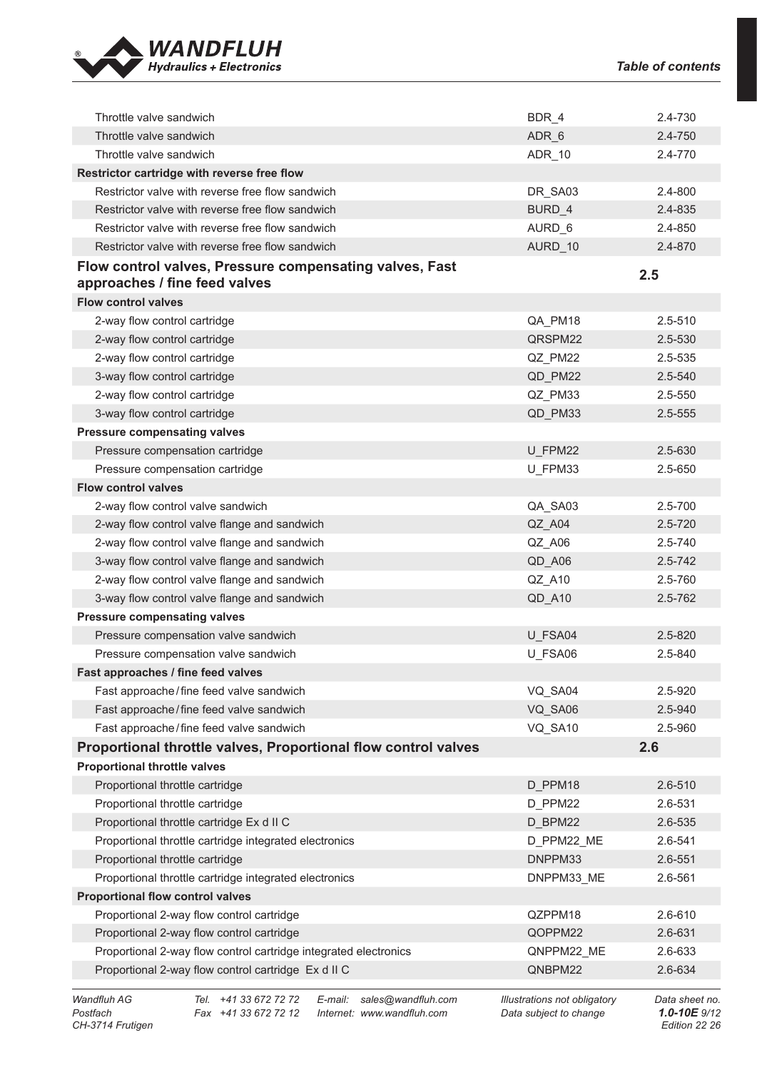

| Throttle valve sandwich                                                                  | BDR 4      | 2.4-730     |
|------------------------------------------------------------------------------------------|------------|-------------|
| Throttle valve sandwich                                                                  | ADR 6      | 2.4-750     |
| Throttle valve sandwich                                                                  | ADR_10     | 2.4-770     |
| Restrictor cartridge with reverse free flow                                              |            |             |
| Restrictor valve with reverse free flow sandwich                                         | DR_SA03    | 2.4-800     |
| Restrictor valve with reverse free flow sandwich                                         | BURD 4     | 2.4-835     |
| Restrictor valve with reverse free flow sandwich                                         | AURD 6     | 2.4-850     |
| Restrictor valve with reverse free flow sandwich                                         | AURD 10    | 2.4-870     |
| Flow control valves, Pressure compensating valves, Fast<br>approaches / fine feed valves |            | 2.5         |
| <b>Flow control valves</b>                                                               |            |             |
| 2-way flow control cartridge                                                             | QA_PM18    | 2.5-510     |
| 2-way flow control cartridge                                                             | QRSPM22    | 2.5-530     |
| 2-way flow control cartridge                                                             | QZ PM22    | 2.5-535     |
| 3-way flow control cartridge                                                             | QD_PM22    | 2.5-540     |
| 2-way flow control cartridge                                                             | QZ_PM33    | 2.5-550     |
| 3-way flow control cartridge                                                             | QD_PM33    | 2.5-555     |
| <b>Pressure compensating valves</b>                                                      |            |             |
| Pressure compensation cartridge                                                          | U FPM22    | 2.5-630     |
| Pressure compensation cartridge                                                          | U_FPM33    | 2.5-650     |
| <b>Flow control valves</b>                                                               |            |             |
| 2-way flow control valve sandwich                                                        | QA_SA03    | 2.5-700     |
| 2-way flow control valve flange and sandwich                                             | QZ_A04     | $2.5 - 720$ |
| 2-way flow control valve flange and sandwich                                             | QZ_A06     | 2.5-740     |
| 3-way flow control valve flange and sandwich                                             | QD_A06     | 2.5-742     |
| 2-way flow control valve flange and sandwich                                             | QZ_A10     | 2.5-760     |
| 3-way flow control valve flange and sandwich                                             | QD_A10     | 2.5-762     |
| <b>Pressure compensating valves</b>                                                      |            |             |
| Pressure compensation valve sandwich                                                     | U FSA04    | $2.5 - 820$ |
| Pressure compensation valve sandwich                                                     | U_FSA06    | 2.5-840     |
| Fast approaches / fine feed valves                                                       |            |             |
| Fast approache/fine feed valve sandwich                                                  | VQ_SA04    | 2.5-920     |
| Fast approache/fine feed valve sandwich                                                  | VQ_SA06    | 2.5-940     |
| Fast approache/fine feed valve sandwich                                                  | VQ_SA10    | 2.5-960     |
| Proportional throttle valves, Proportional flow control valves                           |            | 2.6         |
| <b>Proportional throttle valves</b>                                                      |            |             |
| Proportional throttle cartridge                                                          | D PPM18    | 2.6-510     |
| Proportional throttle cartridge                                                          | D PPM22    | 2.6-531     |
| Proportional throttle cartridge Ex d II C                                                | D_BPM22    | 2.6-535     |
| Proportional throttle cartridge integrated electronics                                   | D_PPM22_ME | 2.6-541     |
| Proportional throttle cartridge                                                          | DNPPM33    | 2.6-551     |
| Proportional throttle cartridge integrated electronics                                   | DNPPM33_ME | 2.6-561     |
| <b>Proportional flow control valves</b>                                                  |            |             |
| Proportional 2-way flow control cartridge                                                | QZPPM18    | 2.6-610     |
| Proportional 2-way flow control cartridge                                                | QOPPM22    | 2.6-631     |
| Proportional 2-way flow control cartridge integrated electronics                         | QNPPM22_ME | 2.6-633     |
| Proportional 2-way flow control cartridge Ex d II C                                      | QNBPM22    | 2.6-634     |
|                                                                                          |            |             |

*Wandfluh AG Tel. +41 33 672 72 72 E-mail: sales@wandfluh.com Illustrations not obligatory Data sheet no. Postfach Fax +41 33 672 72 12 Internet: www.wandfluh.com Data subject to change 1.0-10E 9/12*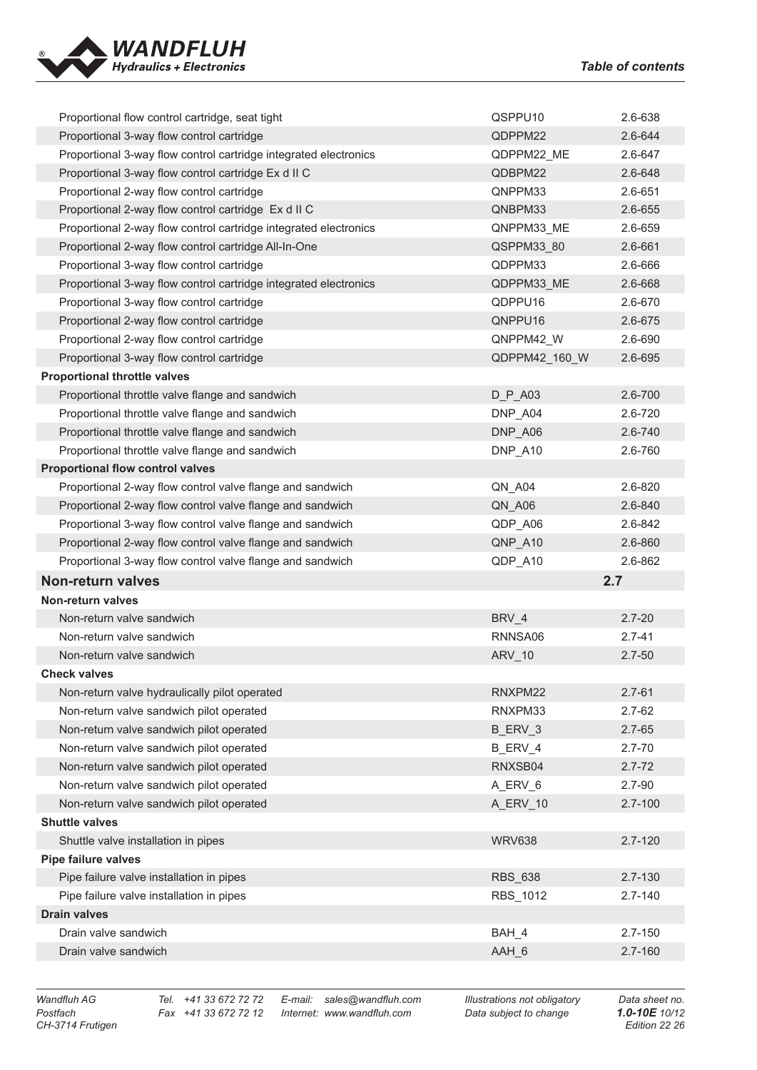

| Proportional flow control cartridge, seat tight                  | QSPPU10        | 2.6-638     |
|------------------------------------------------------------------|----------------|-------------|
| Proportional 3-way flow control cartridge                        | QDPPM22        | 2.6-644     |
| Proportional 3-way flow control cartridge integrated electronics | QDPPM22_ME     | 2.6-647     |
| Proportional 3-way flow control cartridge Ex d II C              | QDBPM22        | 2.6-648     |
| Proportional 2-way flow control cartridge                        | QNPPM33        | 2.6-651     |
| Proportional 2-way flow control cartridge Ex d II C              | QNBPM33        | 2.6-655     |
| Proportional 2-way flow control cartridge integrated electronics | QNPPM33_ME     | 2.6-659     |
| Proportional 2-way flow control cartridge All-In-One             | QSPPM33 80     | 2.6-661     |
| Proportional 3-way flow control cartridge                        | QDPPM33        | 2.6-666     |
| Proportional 3-way flow control cartridge integrated electronics | QDPPM33_ME     | 2.6-668     |
| Proportional 3-way flow control cartridge                        | QDPPU16        | 2.6-670     |
| Proportional 2-way flow control cartridge                        | QNPPU16        | 2.6-675     |
| Proportional 2-way flow control cartridge                        | QNPPM42_W      | 2.6-690     |
| Proportional 3-way flow control cartridge                        | QDPPM42_160_W  | 2.6-695     |
| <b>Proportional throttle valves</b>                              |                |             |
| Proportional throttle valve flange and sandwich                  | $D_P$ _A03     | 2.6-700     |
| Proportional throttle valve flange and sandwich                  | DNP_A04        | 2.6-720     |
| Proportional throttle valve flange and sandwich                  | DNP_A06        | 2.6-740     |
| Proportional throttle valve flange and sandwich                  | DNP_A10        | 2.6-760     |
| <b>Proportional flow control valves</b>                          |                |             |
| Proportional 2-way flow control valve flange and sandwich        | QN_A04         | 2.6-820     |
| Proportional 2-way flow control valve flange and sandwich        | QN_A06         | 2.6-840     |
| Proportional 3-way flow control valve flange and sandwich        | QDP_A06        | 2.6-842     |
|                                                                  | QNP_A10        | 2.6-860     |
| Proportional 2-way flow control valve flange and sandwich        |                |             |
| Proportional 3-way flow control valve flange and sandwich        | QDP_A10        | 2.6-862     |
| <b>Non-return valves</b>                                         | 2.7            |             |
| Non-return valves                                                |                |             |
| Non-return valve sandwich                                        | BRV_4          | $2.7 - 20$  |
| Non-return valve sandwich                                        | RNNSA06        | $2.7 - 41$  |
| Non-return valve sandwich                                        | ARV_10         | $2.7 - 50$  |
| <b>Check valves</b>                                              |                |             |
| Non-return valve hydraulically pilot operated                    | RNXPM22        | $2.7 - 61$  |
| Non-return valve sandwich pilot operated                         | RNXPM33        | $2.7 - 62$  |
| Non-return valve sandwich pilot operated                         | B ERV 3        | $2.7 - 65$  |
| Non-return valve sandwich pilot operated                         | B_ERV_4        | $2.7 - 70$  |
| Non-return valve sandwich pilot operated                         | RNXSB04        | $2.7 - 72$  |
| Non-return valve sandwich pilot operated                         | A_ERV_6        | $2.7 - 90$  |
| Non-return valve sandwich pilot operated                         | A_ERV_10       | $2.7 - 100$ |
| <b>Shuttle valves</b>                                            |                |             |
| Shuttle valve installation in pipes                              | <b>WRV638</b>  | $2.7 - 120$ |
| <b>Pipe failure valves</b>                                       |                |             |
| Pipe failure valve installation in pipes                         | <b>RBS 638</b> | 2.7-130     |
| Pipe failure valve installation in pipes                         | RBS_1012       | $2.7 - 140$ |
| <b>Drain valves</b>                                              |                |             |
| Drain valve sandwich                                             | BAH_4          | 2.7-150     |

*Postfach Fax +41 33 672 72 12 Internet: www.wandfluh.com Data subject to change 1.0-10E 10/12*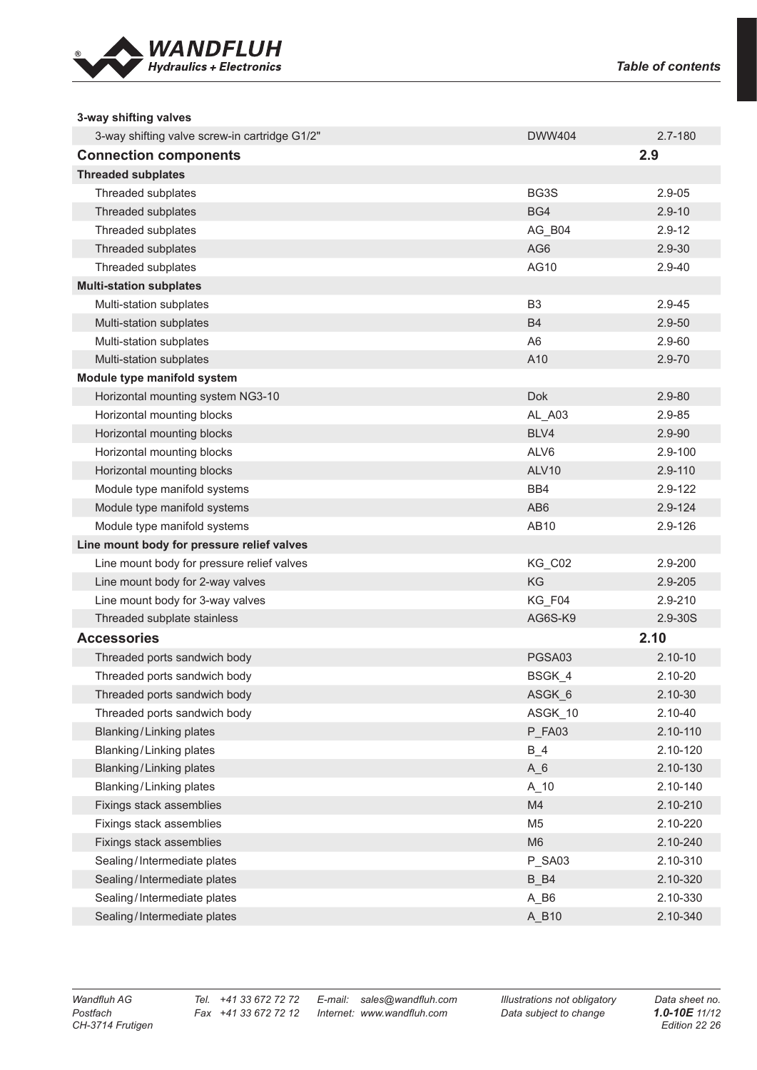

| 3-way shifting valves                         |                                     |             |
|-----------------------------------------------|-------------------------------------|-------------|
| 3-way shifting valve screw-in cartridge G1/2" | <b>DWW404</b>                       | 2.7-180     |
| <b>Connection components</b>                  |                                     | 2.9         |
| <b>Threaded subplates</b>                     |                                     |             |
| Threaded subplates                            | BG3S                                | $2.9 - 05$  |
| Threaded subplates                            | BG4                                 | $2.9 - 10$  |
| Threaded subplates                            | AG_B04                              | $2.9 - 12$  |
| Threaded subplates                            | AG6                                 | 2.9-30      |
| Threaded subplates                            | AG10                                | 2.9-40      |
| <b>Multi-station subplates</b>                |                                     |             |
| Multi-station subplates                       | B <sub>3</sub>                      | 2.9-45      |
| Multi-station subplates                       | <b>B4</b>                           | $2.9 - 50$  |
| Multi-station subplates                       | A <sub>6</sub>                      | 2.9-60      |
| Multi-station subplates                       | A10                                 | 2.9-70      |
| Module type manifold system                   |                                     |             |
| Horizontal mounting system NG3-10             | <b>Dok</b>                          | $2.9 - 80$  |
| Horizontal mounting blocks                    | AL_A03                              | 2.9-85      |
| Horizontal mounting blocks                    | BLV4                                | $2.9 - 90$  |
| Horizontal mounting blocks                    | ALV6                                | $2.9 - 100$ |
| Horizontal mounting blocks                    | ALV <sub>10</sub>                   | 2.9-110     |
| Module type manifold systems                  | BB4                                 | 2.9-122     |
| Module type manifold systems                  | AB <sub>6</sub>                     | 2.9-124     |
| Module type manifold systems                  | AB10                                | 2.9-126     |
| Line mount body for pressure relief valves    |                                     |             |
| Line mount body for pressure relief valves    | KG_C02                              | 2.9-200     |
| Line mount body for 2-way valves              | KG                                  | 2.9-205     |
| Line mount body for 3-way valves              | KG_F04                              | 2.9-210     |
| Threaded subplate stainless                   | AG6S-K9                             | 2.9-30S     |
| <b>Accessories</b>                            |                                     | 2.10        |
| Threaded ports sandwich body                  | PGSA03                              | $2.10 - 10$ |
| Threaded ports sandwich body                  | BSGK 4                              | 2.10-20     |
| Threaded ports sandwich body                  | ASGK6                               | 2.10-30     |
| Threaded ports sandwich body                  | ASGK_10                             | 2.10-40     |
| <b>Blanking/Linking plates</b>                | P_FA03                              | 2.10-110    |
| Blanking/Linking plates                       | $B_4$                               | 2.10-120    |
| <b>Blanking/Linking plates</b>                | $A_6$                               | 2.10-130    |
| <b>Blanking/Linking plates</b>                | $A_10$                              | 2.10-140    |
| Fixings stack assemblies                      | M4                                  | 2.10-210    |
| Fixings stack assemblies                      | M <sub>5</sub>                      | 2.10-220    |
| Fixings stack assemblies                      | M <sub>6</sub>                      | 2.10-240    |
| Sealing/Intermediate plates                   | P_SA03                              | 2.10-310    |
| Sealing/Intermediate plates                   | $B$ <sub><math>B</math></sub> $B$ 4 | 2.10-320    |
| Sealing/Intermediate plates                   | $A$ <sub>B6</sub>                   | 2.10-330    |
| Sealing/Intermediate plates                   | A_B10                               | 2.10-340    |